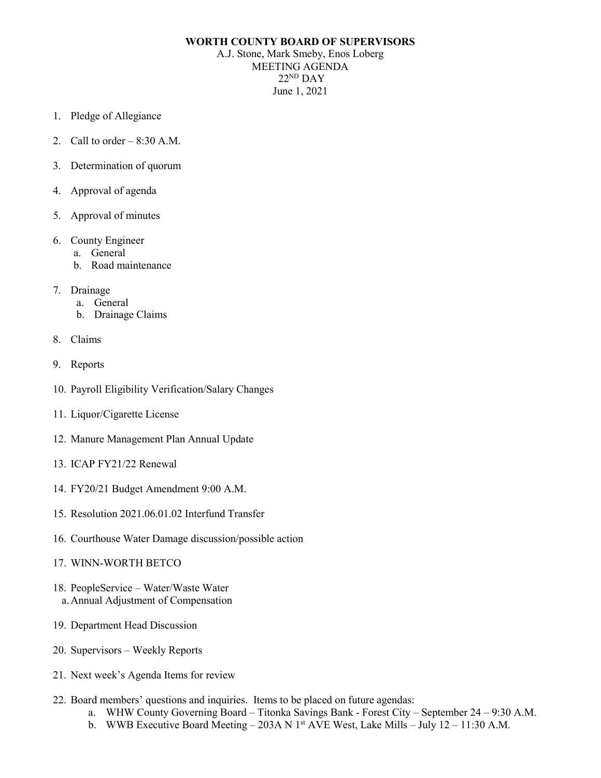## **WORTH COUNTY BOARD OF SUPERVISORS**

A.J. Stone, Mark Smeby, Enos Loberg MEETING AGENDA  $22<sup>ND</sup>$  DAY June 1, 2021

- 1. Pledge of Allegiance
- 2. Call to order  $-8:30$  A.M.
- 3. Determination of quorum
- 4. Approval of agenda
- 5. Approval of minutes
- 6. County Engineer
	- a. General
	- b. Road maintenance
- 7. Drainage
	- a. General
	- b. Drainage Claims
- 8. Claims
- 9. Reports
- 10. Payroll Eligibility Verification/Salary Changes
- 11. Liquor/Cigarette License
- 12. Manure Management Plan Annual Update
- 13. ICAP FY21/22 Renewal
- 14. FY20/21 Budget Amendment 9:00 A.M.
- 15. Resolution 2021.06.01.02 Interfund Transfer
- 16. Courthouse Water Damage discussion/possible action
- 17. WINN-WORTH BETCO
- 18. PeopleService Water/Waste Water a.Annual Adjustment of Compensation
- 19. Department Head Discussion
- 20. Supervisors Weekly Reports
- 21. Next week's Agenda Items for review
- 22. Board members' questions and inquiries. Items to be placed on future agendas:
	- a. WHW County Governing Board Titonka Savings Bank Forest City September 24 9:30 A.M.
	- b. WWB Executive Board Meeting 203A N 1<sup>st</sup> AVE West, Lake Mills July 12 11:30 A.M.